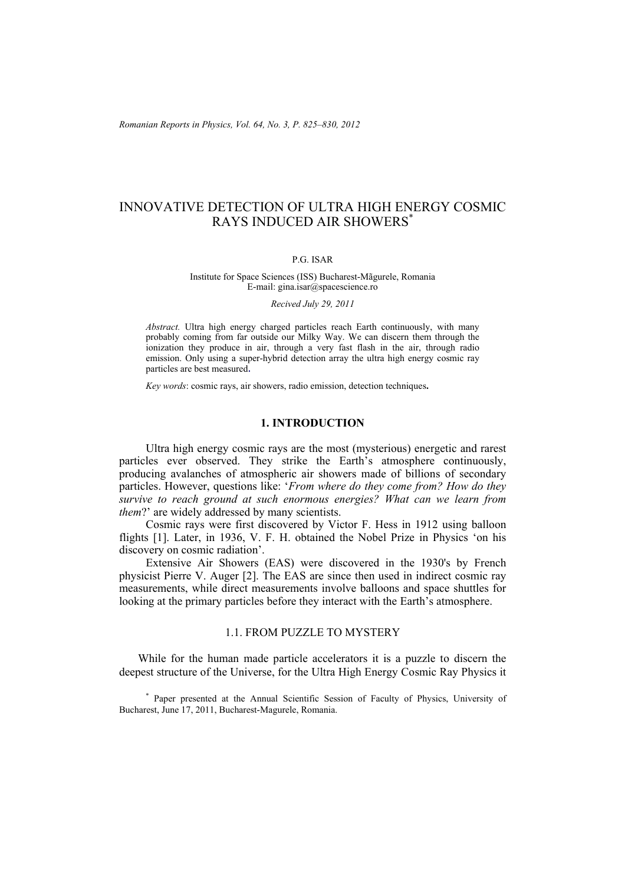# INNOVATIVE DETECTION OF ULTRA HIGH ENERGY COSMIC RAYS INDUCED AIR SHOWERS\*

### P.G. ISAR

#### Institute for Space Sciences (ISS) Bucharest-Mãgurele, Romania E-mail: gina.isar@spacescience.ro

#### *Recived July 29, 2011*

*Abstract.* Ultra high energy charged particles reach Earth continuously, with many probably coming from far outside our Milky Way. We can discern them through the ionization they produce in air, through a very fast flash in the air, through radio emission. Only using a super-hybrid detection array the ultra high energy cosmic ray particles are best measured.

*Key words*: cosmic rays, air showers, radio emission, detection techniques**.** 

# **1. INTRODUCTION**

Ultra high energy cosmic rays are the most (mysterious) energetic and rarest particles ever observed. They strike the Earth's atmosphere continuously, producing avalanches of atmospheric air showers made of billions of secondary particles. However, questions like: '*From where do they come from? How do they survive to reach ground at such enormous energies? What can we learn from them?*' are widely addressed by many scientists.

Cosmic rays were first discovered by Victor F. Hess in 1912 using balloon flights [1]. Later, in 1936, V. F. H. obtained the Nobel Prize in Physics 'on his discovery on cosmic radiation'.

Extensive Air Showers (EAS) were discovered in the 1930's by French physicist Pierre V. Auger [2]. The EAS are since then used in indirect cosmic ray measurements, while direct measurements involve balloons and space shuttles for looking at the primary particles before they interact with the Earth's atmosphere.

# 1.1. FROM PUZZLE TO MYSTERY

While for the human made particle accelerators it is a puzzle to discern the deepest structure of the Universe, for the Ultra High Energy Cosmic Ray Physics it

\* Paper presented at the Annual Scientific Session of Faculty of Physics, University of Bucharest, June 17, 2011, Bucharest-Magurele, Romania.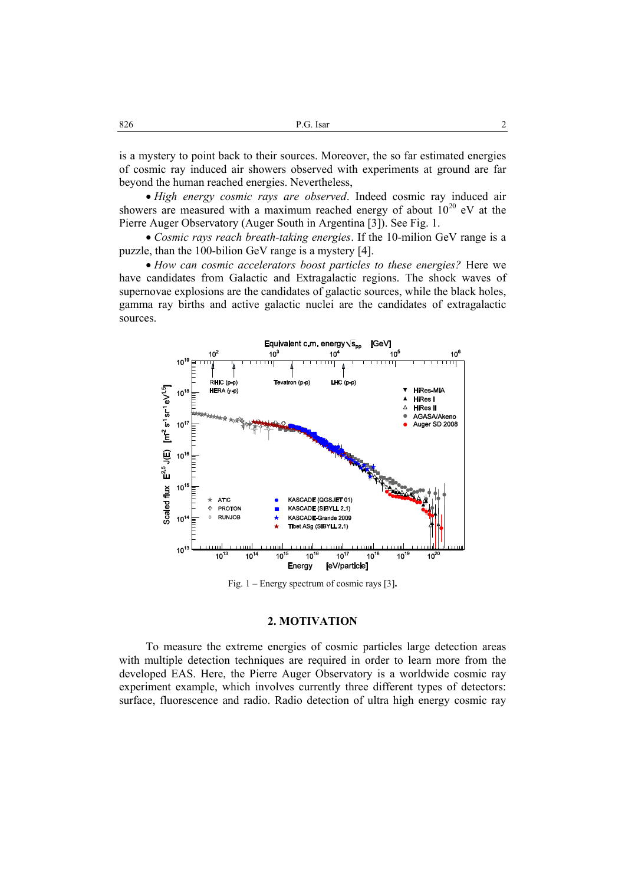is a mystery to point back to their sources. Moreover, the so far estimated energies of cosmic ray induced air showers observed with experiments at ground are far beyond the human reached energies. Nevertheless,

• *High energy cosmic rays are observed*. Indeed cosmic ray induced air showers are measured with a maximum reached energy of about  $10^{20}$  eV at the Pierre Auger Observatory (Auger South in Argentina [3]). See Fig. 1.

• *Cosmic rays reach breath-taking energies*. If the 10-milion GeV range is a puzzle, than the 100-bilion GeV range is a mystery [4].

• *How can cosmic accelerators boost particles to these energies?* Here we have candidates from Galactic and Extragalactic regions. The shock waves of supernovae explosions are the candidates of galactic sources, while the black holes, gamma ray births and active galactic nuclei are the candidates of extragalactic sources.



Fig. 1 – Energy spectrum of cosmic rays [3]**.** 

### **2. MOTIVATION**

To measure the extreme energies of cosmic particles large detection areas with multiple detection techniques are required in order to learn more from the developed EAS. Here, the Pierre Auger Observatory is a worldwide cosmic ray experiment example, which involves currently three different types of detectors: surface, fluorescence and radio. Radio detection of ultra high energy cosmic ray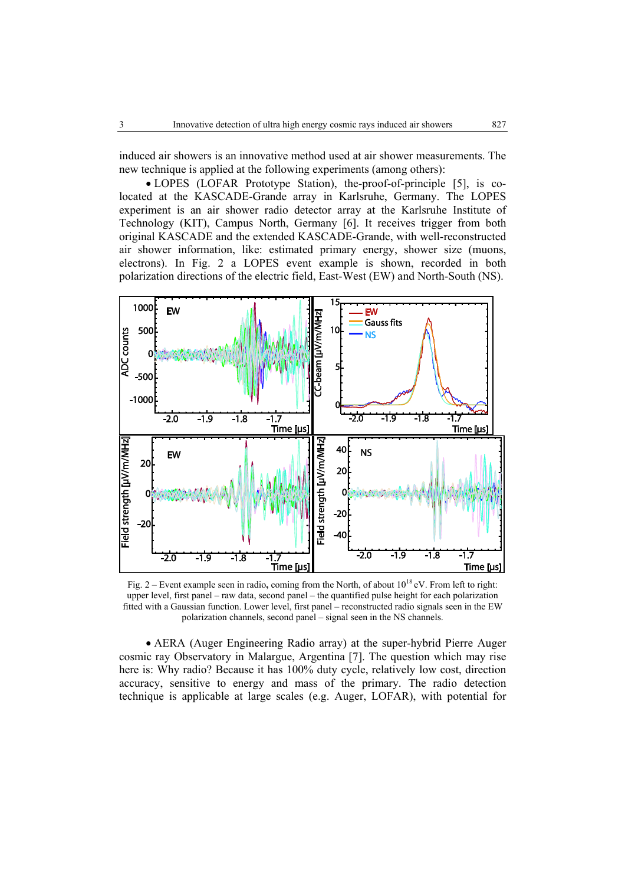induced air showers is an innovative method used at air shower measurements. The new technique is applied at the following experiments (among others):

• LOPES (LOFAR Prototype Station), the-proof-of-principle [5], is colocated at the KASCADE-Grande array in Karlsruhe, Germany. The LOPES experiment is an air shower radio detector array at the Karlsruhe Institute of Technology (KIT), Campus North, Germany [6]. It receives trigger from both original KASCADE and the extended KASCADE-Grande, with well-reconstructed air shower information, like: estimated primary energy, shower size (muons, electrons). In Fig. 2 a LOPES event example is shown, recorded in both polarization directions of the electric field, East-West (EW) and North-South (NS).



Fig. 2 – Event example seen in radio, coming from the North, of about 10<sup>18</sup> eV. From left to right: upper level, first panel – raw data, second panel – the quantified pulse height for each polarization fitted with a Gaussian function. Lower level, first panel – reconstructed radio signals seen in the EW polarization channels, second panel – signal seen in the NS channels.

• AERA (Auger Engineering Radio array) at the super-hybrid Pierre Auger cosmic ray Observatory in Malargue, Argentina [7]. The question which may rise here is: Why radio? Because it has 100% duty cycle, relatively low cost, direction accuracy, sensitive to energy and mass of the primary. The radio detection technique is applicable at large scales (e.g. Auger, LOFAR), with potential for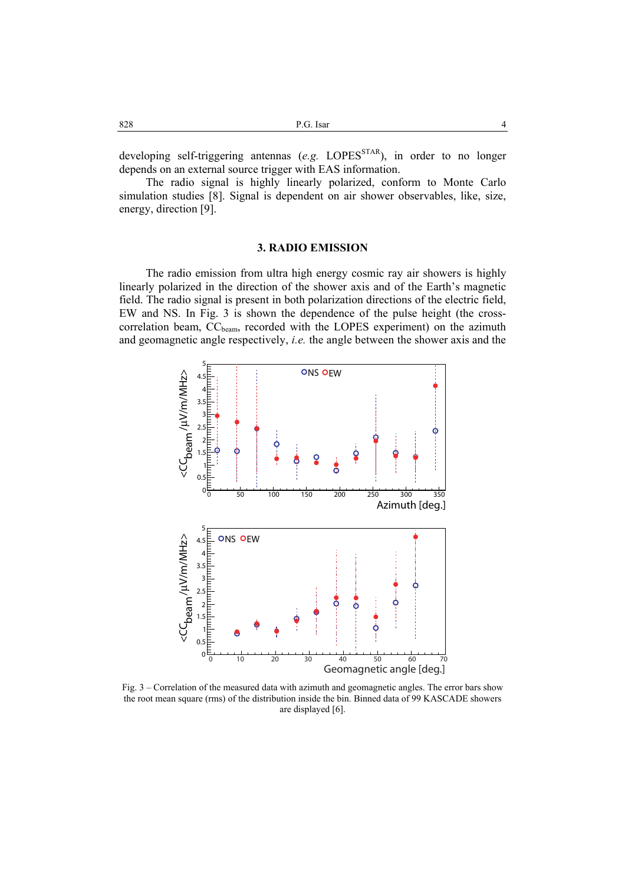| 828 | P.G. Isar | $\Delta$ |
|-----|-----------|----------|
|     |           |          |

developing self-triggering antennas (*e.g.* LOPES<sup>STAR</sup>), in order to no longer depends on an external source trigger with EAS information.

The radio signal is highly linearly polarized, conform to Monte Carlo simulation studies [8]. Signal is dependent on air shower observables, like, size, energy, direction [9].

#### **3. RADIO EMISSION**

The radio emission from ultra high energy cosmic ray air showers is highly linearly polarized in the direction of the shower axis and of the Earth's magnetic field. The radio signal is present in both polarization directions of the electric field, EW and NS. In Fig. 3 is shown the dependence of the pulse height (the crosscorrelation beam, CC<sub>beam</sub>, recorded with the LOPES experiment) on the azimuth and geomagnetic angle respectively, *i.e.* the angle between the shower axis and the



Fig. 3 – Correlation of the measured data with azimuth and geomagnetic angles. The error bars show the root mean square (rms) of the distribution inside the bin. Binned data of 99 KASCADE showers are displayed [6].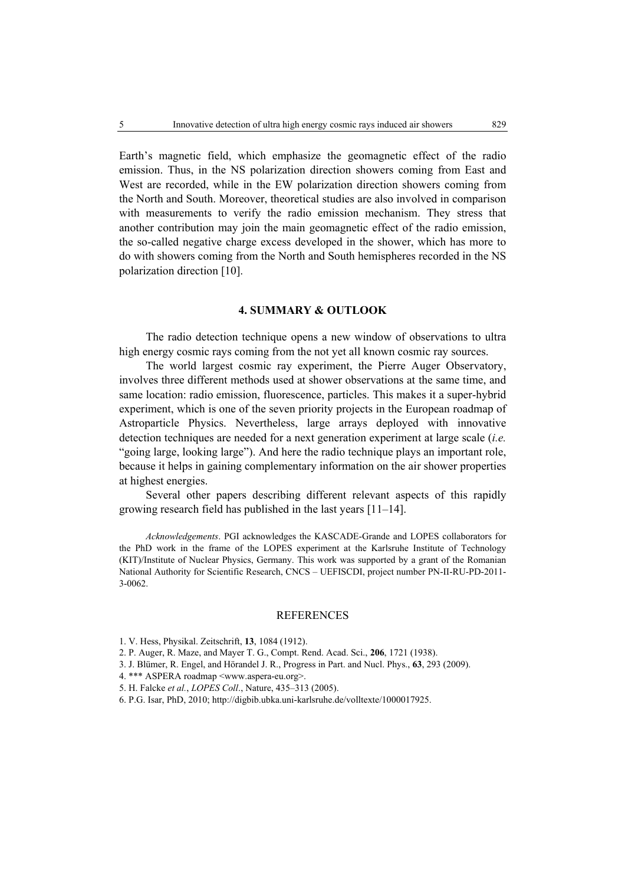Earth's magnetic field, which emphasize the geomagnetic effect of the radio emission. Thus, in the NS polarization direction showers coming from East and West are recorded, while in the EW polarization direction showers coming from the North and South. Moreover, theoretical studies are also involved in comparison with measurements to verify the radio emission mechanism. They stress that another contribution may join the main geomagnetic effect of the radio emission, the so-called negative charge excess developed in the shower, which has more to do with showers coming from the North and South hemispheres recorded in the NS polarization direction [10].

# **4. SUMMARY & OUTLOOK**

The radio detection technique opens a new window of observations to ultra high energy cosmic rays coming from the not yet all known cosmic ray sources.

The world largest cosmic ray experiment, the Pierre Auger Observatory, involves three different methods used at shower observations at the same time, and same location: radio emission, fluorescence, particles. This makes it a super-hybrid experiment, which is one of the seven priority projects in the European roadmap of Astroparticle Physics. Nevertheless, large arrays deployed with innovative detection techniques are needed for a next generation experiment at large scale (*i.e.* "going large, looking large"). And here the radio technique plays an important role, because it helps in gaining complementary information on the air shower properties at highest energies.

Several other papers describing different relevant aspects of this rapidly growing research field has published in the last years [11–14].

*Acknowledgements*. PGI acknowledges the KASCADE-Grande and LOPES collaborators for the PhD work in the frame of the LOPES experiment at the Karlsruhe Institute of Technology (KIT)/Institute of Nuclear Physics, Germany. This work was supported by a grant of the Romanian National Authority for Scientific Research, CNCS – UEFISCDI, project number PN-II-RU-PD-2011- 3-0062.

### REFERENCES

- 1. V. Hess, Physikal. Zeitschrift, **13**, 1084 (1912).
- 2. P. Auger, R. Maze, and Mayer T. G., Compt. Rend. Acad. Sci., **206**, 1721 (1938).
- 3. J. Blümer, R. Engel, and Hörandel J. R., Progress in Part. and Nucl. Phys., **63**, 293 (2009).
- 4. \*\*\* ASPERA roadmap <www.aspera-eu.org>.
- 5. H. Falcke *et al.*, *LOPES Coll*., Nature, 435–313 (2005).
- 6. P.G. Isar, PhD, 2010; http://digbib.ubka.uni-karlsruhe.de/volltexte/1000017925.